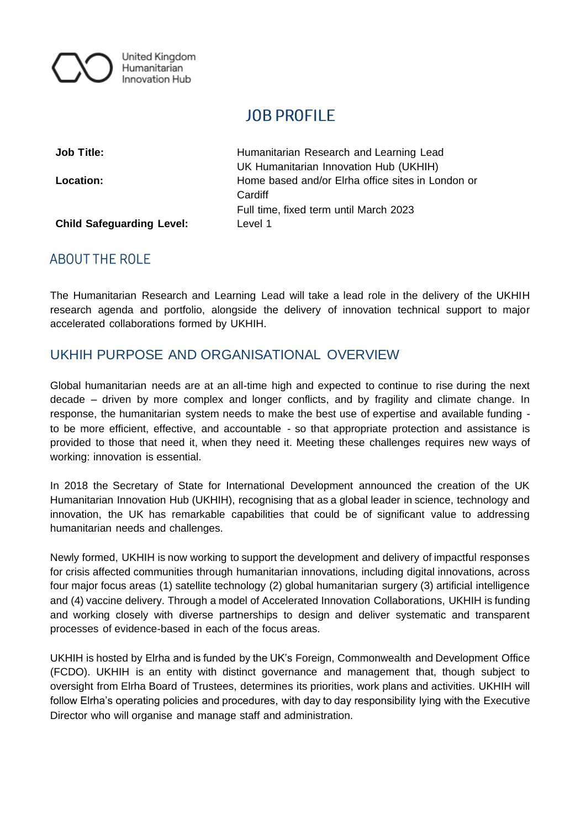

# **JOB PROFILE**

**Job Title:** Humanitarian Research and Learning Lead UK Humanitarian Innovation Hub (UKHIH) **Location:** Home based and/or Elrha office sites in London or **Cardiff** Full time, fixed term until March 2023

**Child Safeguarding Level:** Level 1

# **ABOUT THE ROLE**

The Humanitarian Research and Learning Lead will take a lead role in the delivery of the UKHIH research agenda and portfolio, alongside the delivery of innovation technical support to major accelerated collaborations formed by UKHIH.

# UKHIH PURPOSE AND ORGANISATIONAL OVERVIEW

Global humanitarian needs are at an all-time high and expected to continue to rise during the next decade – driven by more complex and longer conflicts, and by fragility and climate change. In response, the humanitarian system needs to make the best use of expertise and available funding to be more efficient, effective, and accountable - so that appropriate protection and assistance is provided to those that need it, when they need it. Meeting these challenges requires new ways of working: innovation is essential.

In 2018 the Secretary of State for International Development announced the creation of the UK Humanitarian Innovation Hub (UKHIH), recognising that as a global leader in science, technology and innovation, the UK has remarkable capabilities that could be of significant value to addressing humanitarian needs and challenges.

Newly formed, UKHIH is now working to support the development and delivery of impactful responses for crisis affected communities through humanitarian innovations, including digital innovations, across four major focus areas (1) satellite technology (2) global humanitarian surgery (3) artificial intelligence and (4) vaccine delivery. Through a model of Accelerated Innovation Collaborations, UKHIH is funding and working closely with diverse partnerships to design and deliver systematic and transparent processes of evidence-based in each of the focus areas.

UKHIH is hosted by [Elrha](https://www.elrha.org/) and is funded by the UK's Foreign, Commonwealth and Development Office (FCDO). UKHIH is an entity with distinct governance and management that, though subject to oversight from Elrha Board of Trustees, determines its priorities, work plans and activities. UKHIH will follow Elrha's operating policies and procedures, with day to day responsibility lying with the Executive Director who will organise and manage staff and administration.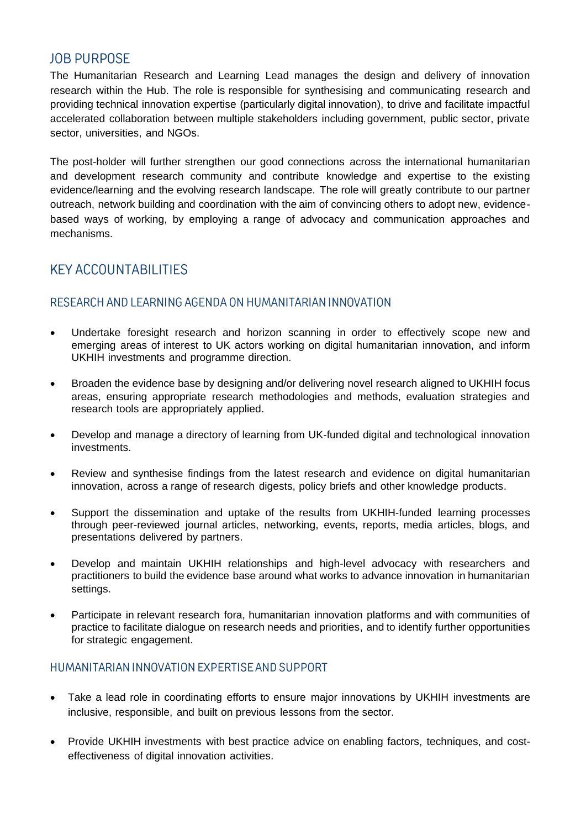## **JOB PURPOSE**

The Humanitarian Research and Learning Lead manages the design and delivery of innovation research within the Hub. The role is responsible for synthesising and communicating research and providing technical innovation expertise (particularly digital innovation), to drive and facilitate impactful accelerated collaboration between multiple stakeholders including government, public sector, private sector, universities, and NGOs.

The post-holder will further strengthen our good connections across the international humanitarian and development research community and contribute knowledge and expertise to the existing evidence/learning and the evolving research landscape. The role will greatly contribute to our partner outreach, network building and coordination with the aim of convincing others to adopt new, evidencebased ways of working, by employing a range of advocacy and communication approaches and mechanisms.

# **KEY ACCOUNTABILITIES**

#### RESEARCH AND LEARNING AGENDA ON HUMANITARIAN INNOVATION

- Undertake foresight research and horizon scanning in order to effectively scope new and emerging areas of interest to UK actors working on digital humanitarian innovation, and inform UKHIH investments and programme direction.
- Broaden the evidence base by designing and/or delivering novel research aligned to UKHIH focus areas, ensuring appropriate research methodologies and methods, evaluation strategies and research tools are appropriately applied.
- Develop and manage a directory of learning from UK-funded digital and technological innovation investments.
- Review and synthesise findings from the latest research and evidence on digital humanitarian innovation, across a range of research digests, policy briefs and other knowledge products.
- Support the dissemination and uptake of the results from UKHIH-funded learning processes through peer-reviewed journal articles, networking, events, reports, media articles, blogs, and presentations delivered by partners.
- Develop and maintain UKHIH relationships and high-level advocacy with researchers and practitioners to build the evidence base around what works to advance innovation in humanitarian settings.
- Participate in relevant research fora, humanitarian innovation platforms and with communities of practice to facilitate dialogue on research needs and priorities, and to identify further opportunities for strategic engagement.

## HUMANITARIAN INNOVATION EXPERTISE AND SUPPORT

- Take a lead role in coordinating efforts to ensure major innovations by UKHIH investments are inclusive, responsible, and built on previous lessons from the sector.
- Provide UKHIH investments with best practice advice on enabling factors, techniques, and costeffectiveness of digital innovation activities.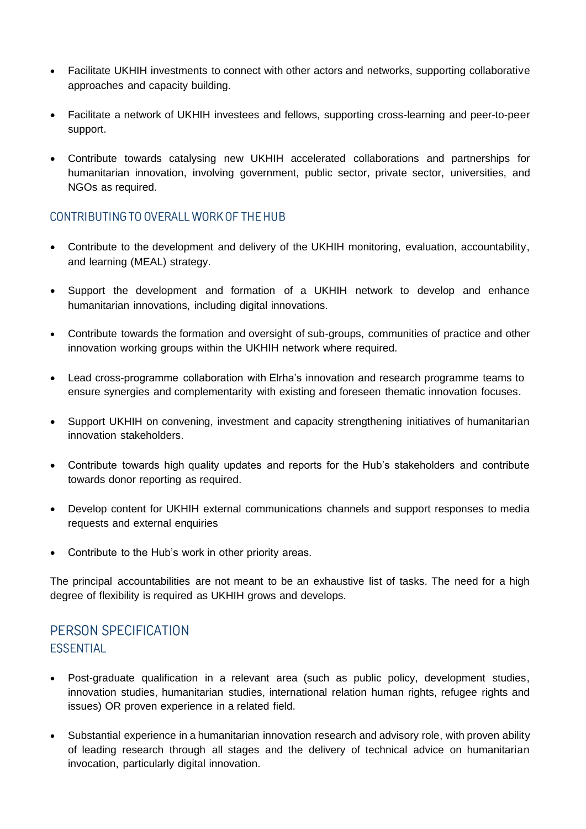- Facilitate UKHIH investments to connect with other actors and networks, supporting collaborative approaches and capacity building.
- Facilitate a network of UKHIH investees and fellows, supporting cross-learning and peer-to-peer support.
- Contribute towards catalysing new UKHIH accelerated collaborations and partnerships for humanitarian innovation, involving government, public sector, private sector, universities, and NGOs as required.

## CONTRIBUTING TO OVERALL WORK OF THE HUB

- Contribute to the development and delivery of the UKHIH monitoring, evaluation, accountability, and learning (MEAL) strategy.
- Support the development and formation of a UKHIH network to develop and enhance humanitarian innovations, including digital innovations.
- Contribute towards the formation and oversight of sub-groups, communities of practice and other innovation working groups within the UKHIH network where required.
- Lead cross-programme collaboration with Elrha's innovation and research programme teams to ensure synergies and complementarity with existing and foreseen thematic innovation focuses.
- Support UKHIH on convening, investment and capacity strengthening initiatives of humanitarian innovation stakeholders.
- Contribute towards high quality updates and reports for the Hub's stakeholders and contribute towards donor reporting as required.
- Develop content for UKHIH external communications channels and support responses to media requests and external enquiries
- Contribute to the Hub's work in other priority areas.

The principal accountabilities are not meant to be an exhaustive list of tasks. The need for a high degree of flexibility is required as UKHIH grows and develops.

# PERSON SPECIFICATION **ESSENTIAL**

- Post-graduate qualification in a relevant area (such as public policy, development studies, innovation studies, humanitarian studies, international relation human rights, refugee rights and issues) OR proven experience in a related field.
- Substantial experience in a humanitarian innovation research and advisory role, with proven ability of leading research through all stages and the delivery of technical advice on humanitarian invocation, particularly digital innovation.